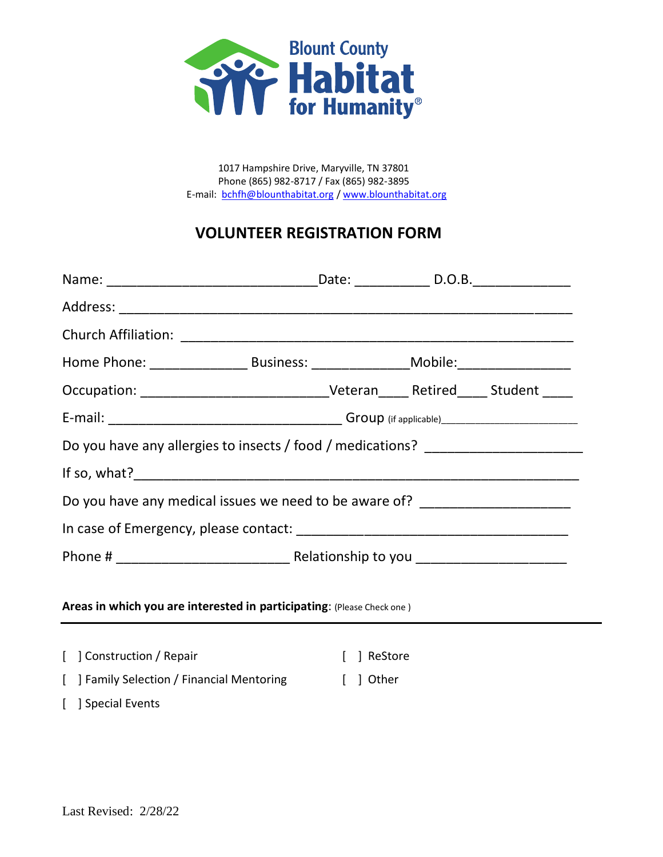

1017 Hampshire Drive, Maryville, TN 37801 Phone (865) 982-8717 / Fax (865) 982-3895 E-mail: [bchfh@blounthabitat.org](mailto:bchfh@blounthabitat.org) / [www.blounthabitat.org](http://www.blounthabitat.org/)

## **VOLUNTEER REGISTRATION FORM**

| Occupation: ___________________________________Veteran_______Retired______Student _____ |           |  |  |
|-----------------------------------------------------------------------------------------|-----------|--|--|
|                                                                                         |           |  |  |
| Do you have any allergies to insects / food / medications? _____________________        |           |  |  |
|                                                                                         |           |  |  |
| Do you have any medical issues we need to be aware of? _________________________        |           |  |  |
|                                                                                         |           |  |  |
|                                                                                         |           |  |  |
| Areas in which you are interested in participating: (Please Check one)                  |           |  |  |
|                                                                                         |           |  |  |
| [ ] Construction / Repair                                                               | ReStore   |  |  |
| [ ] Family Selection / Financial Mentoring                                              | [ ] Other |  |  |
| [ ] Special Events                                                                      |           |  |  |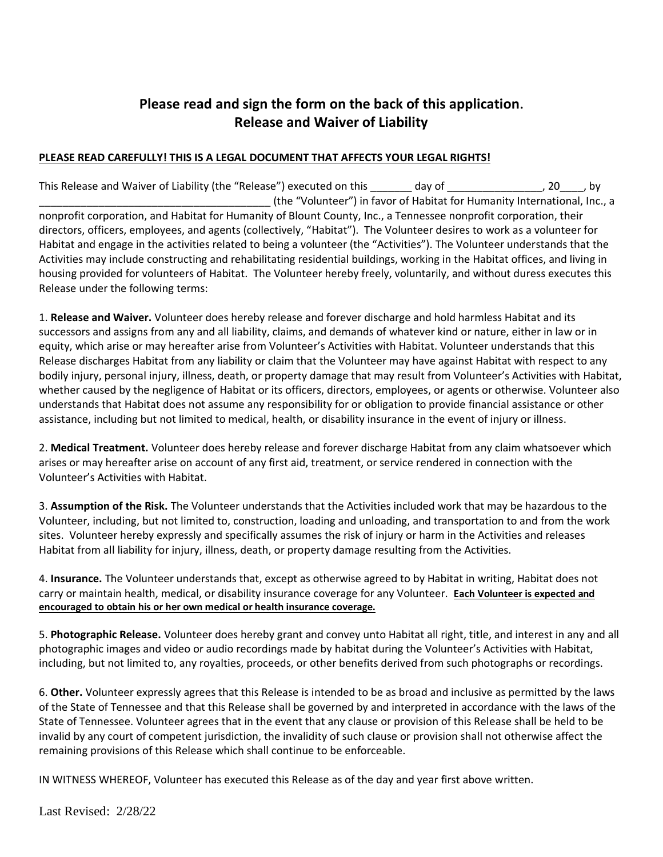## **Please read and sign the form on the back of this application. Release and Waiver of Liability**

## **PLEASE READ CAREFULLY! THIS IS A LEGAL DOCUMENT THAT AFFECTS YOUR LEGAL RIGHTS!**

This Release and Waiver of Liability (the "Release") executed on this day of  $\qquad \qquad$  , 20  $\qquad$ , by \_\_\_\_\_\_\_\_\_\_\_\_\_\_\_\_\_\_\_\_\_\_\_\_\_\_\_\_\_\_\_\_\_\_\_\_\_\_\_ (the "Volunteer") in favor of Habitat for Humanity International, Inc., a nonprofit corporation, and Habitat for Humanity of Blount County, Inc., a Tennessee nonprofit corporation, their directors, officers, employees, and agents (collectively, "Habitat"). The Volunteer desires to work as a volunteer for Habitat and engage in the activities related to being a volunteer (the "Activities"). The Volunteer understands that the Activities may include constructing and rehabilitating residential buildings, working in the Habitat offices, and living in housing provided for volunteers of Habitat. The Volunteer hereby freely, voluntarily, and without duress executes this Release under the following terms:

1. **Release and Waiver.** Volunteer does hereby release and forever discharge and hold harmless Habitat and its successors and assigns from any and all liability, claims, and demands of whatever kind or nature, either in law or in equity, which arise or may hereafter arise from Volunteer's Activities with Habitat. Volunteer understands that this Release discharges Habitat from any liability or claim that the Volunteer may have against Habitat with respect to any bodily injury, personal injury, illness, death, or property damage that may result from Volunteer's Activities with Habitat, whether caused by the negligence of Habitat or its officers, directors, employees, or agents or otherwise. Volunteer also understands that Habitat does not assume any responsibility for or obligation to provide financial assistance or other assistance, including but not limited to medical, health, or disability insurance in the event of injury or illness.

2. **Medical Treatment.** Volunteer does hereby release and forever discharge Habitat from any claim whatsoever which arises or may hereafter arise on account of any first aid, treatment, or service rendered in connection with the Volunteer's Activities with Habitat.

3. **Assumption of the Risk.** The Volunteer understands that the Activities included work that may be hazardous to the Volunteer, including, but not limited to, construction, loading and unloading, and transportation to and from the work sites. Volunteer hereby expressly and specifically assumes the risk of injury or harm in the Activities and releases Habitat from all liability for injury, illness, death, or property damage resulting from the Activities.

4. **Insurance.** The Volunteer understands that, except as otherwise agreed to by Habitat in writing, Habitat does not carry or maintain health, medical, or disability insurance coverage for any Volunteer. **Each Volunteer is expected and encouraged to obtain his or her own medical or health insurance coverage.**

5. **Photographic Release.** Volunteer does hereby grant and convey unto Habitat all right, title, and interest in any and all photographic images and video or audio recordings made by habitat during the Volunteer's Activities with Habitat, including, but not limited to, any royalties, proceeds, or other benefits derived from such photographs or recordings.

6. **Other.** Volunteer expressly agrees that this Release is intended to be as broad and inclusive as permitted by the laws of the State of Tennessee and that this Release shall be governed by and interpreted in accordance with the laws of the State of Tennessee. Volunteer agrees that in the event that any clause or provision of this Release shall be held to be invalid by any court of competent jurisdiction, the invalidity of such clause or provision shall not otherwise affect the remaining provisions of this Release which shall continue to be enforceable.

IN WITNESS WHEREOF, Volunteer has executed this Release as of the day and year first above written.

Last Revised: 2/28/22